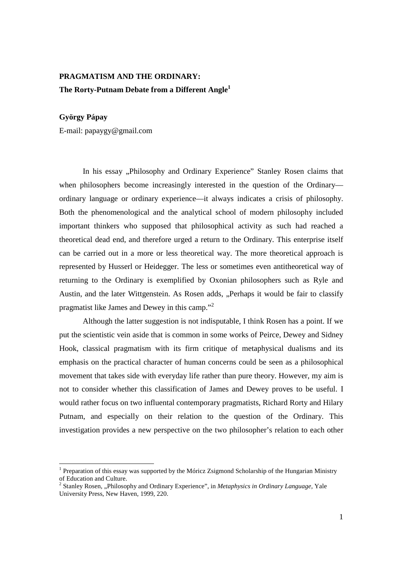## **PRAGMATISM AND THE ORDINARY: The Rorty-Putnam Debate from a Different Angle<sup>1</sup>**

## **György Pápay**

E-mail: papaygy@gmail.com

In his essay "Philosophy and Ordinary Experience" Stanley Rosen claims that when philosophers become increasingly interested in the question of the Ordinary ordinary language or ordinary experience—it always indicates a crisis of philosophy. Both the phenomenological and the analytical school of modern philosophy included important thinkers who supposed that philosophical activity as such had reached a theoretical dead end, and therefore urged a return to the Ordinary. This enterprise itself can be carried out in a more or less theoretical way. The more theoretical approach is represented by Husserl or Heidegger. The less or sometimes even antitheoretical way of returning to the Ordinary is exemplified by Oxonian philosophers such as Ryle and Austin, and the later Wittgenstein. As Rosen adds, "Perhaps it would be fair to classify pragmatist like James and Dewey in this camp."<sup>2</sup>

 Although the latter suggestion is not indisputable, I think Rosen has a point. If we put the scientistic vein aside that is common in some works of Peirce, Dewey and Sidney Hook, classical pragmatism with its firm critique of metaphysical dualisms and its emphasis on the practical character of human concerns could be seen as a philosophical movement that takes side with everyday life rather than pure theory. However, my aim is not to consider whether this classification of James and Dewey proves to be useful. I would rather focus on two influental contemporary pragmatists, Richard Rorty and Hilary Putnam, and especially on their relation to the question of the Ordinary. This investigation provides a new perspective on the two philosopher's relation to each other

<sup>1&</sup>lt;br><sup>1</sup> Preparation of this essay was supported by the Móricz Zsigmond Scholarship of the Hungarian Ministry of Education and Culture.

<sup>&</sup>lt;sup>2</sup> Stanley Rosen, "Philosophy and Ordinary Experience", in *Metaphysics in Ordinary Language*, Yale University Press, New Haven, 1999, 220.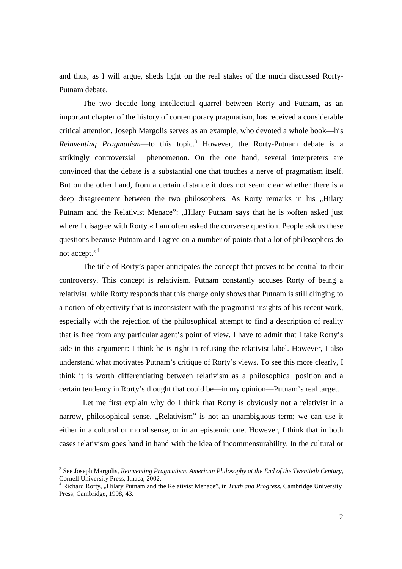and thus, as I will argue, sheds light on the real stakes of the much discussed Rorty-Putnam debate.

 The two decade long intellectual quarrel between Rorty and Putnam, as an important chapter of the history of contemporary pragmatism, has received a considerable critical attention. Joseph Margolis serves as an example, who devoted a whole book—his *Reinventing Pragmatism*—to this topic.<sup>3</sup> However, the Rorty-Putnam debate is a strikingly controversial phenomenon. On the one hand, several interpreters are convinced that the debate is a substantial one that touches a nerve of pragmatism itself. But on the other hand, from a certain distance it does not seem clear whether there is a deep disagreement between the two philosophers. As Rorty remarks in his "Hilary Putnam and the Relativist Menace": "Hilary Putnam says that he is »often asked just where I disagree with Rorty.« I am often asked the converse question. People ask us these questions because Putnam and I agree on a number of points that a lot of philosophers do not accept."<sup>4</sup>

 The title of Rorty's paper anticipates the concept that proves to be central to their controversy. This concept is relativism. Putnam constantly accuses Rorty of being a relativist, while Rorty responds that this charge only shows that Putnam is still clinging to a notion of objectivity that is inconsistent with the pragmatist insights of his recent work, especially with the rejection of the philosophical attempt to find a description of reality that is free from any particular agent's point of view. I have to admit that I take Rorty's side in this argument: I think he is right in refusing the relativist label. However, I also understand what motivates Putnam's critique of Rorty's views. To see this more clearly, I think it is worth differentiating between relativism as a philosophical position and a certain tendency in Rorty's thought that could be—in my opinion—Putnam's real target.

 Let me first explain why do I think that Rorty is obviously not a relativist in a narrow, philosophical sense. "Relativism" is not an unambiguous term; we can use it either in a cultural or moral sense, or in an epistemic one. However, I think that in both cases relativism goes hand in hand with the idea of incommensurability. In the cultural or

<sup>&</sup>lt;sup>3</sup> See Joseph Margolis, *Reinventing Pragmatism. American Philosophy at the End of the Twentieth Century,* Cornell University Press, Ithaca, 2002.

<sup>&</sup>lt;sup>4</sup> Richard Rorty, "Hilary Putnam and the Relativist Menace", in *Truth and Progress*, Cambridge University Press, Cambridge, 1998, 43.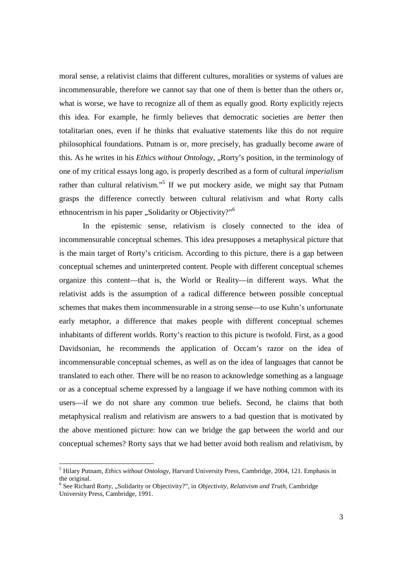moral sense, a relativist claims that different cultures, moralities or systems of values are incommensurable, therefore we cannot say that one of them is better than the others or, what is worse, we have to recognize all of them as equally good. Rorty explicitly rejects this idea. For example, he firmly believes that democratic societies are *better* then totalitarian ones, even if he thinks that evaluative statements like this do not require philosophical foundations. Putnam is or, more precisely, has gradually become aware of this. As he writes in his *Ethics without Ontology*, "Rorty's position, in the terminology of one of my critical essays long ago, is properly described as a form of cultural *imperialism*  rather than cultural relativism."<sup>5</sup> If we put mockery aside, we might say that Putnam grasps the difference correctly between cultural relativism and what Rorty calls ethnocentrism in his paper "Solidarity or Objectivity?"<sup>6</sup>

 In the epistemic sense, relativism is closely connected to the idea of incommensurable conceptual schemes. This idea presupposes a metaphysical picture that is the main target of Rorty's criticism. According to this picture, there is a gap between conceptual schemes and uninterpreted content. People with different conceptual schemes organize this content—that is, the World or Reality—in different ways. What the relativist adds is the assumption of a radical difference between possible conceptual schemes that makes them incommensurable in a strong sense—to use Kuhn's unfortunate early metaphor, a difference that makes people with different conceptual schemes inhabitants of different worlds. Rorty's reaction to this picture is twofold. First, as a good Davidsonian, he recommends the application of Occam's razor on the idea of incommensurable conceptual schemes, as well as on the idea of languages that cannot be translated to each other. There will be no reason to acknowledge something as a language or as a conceptual scheme expressed by a language if we have nothing common with its users—if we do not share any common true beliefs. Second, he claims that both metaphysical realism and relativism are answers to a bad question that is motivated by the above mentioned picture: how can we bridge the gap between the world and our conceptual schemes? Rorty says that we had better avoid both realism and relativism, by

<sup>5</sup> Hilary Putnam, *Ethics without Ontology,* Harvard University Press, Cambridge, 2004, 121. Emphasis in the original.

<sup>&</sup>lt;sup>6</sup> See Richard Rorty, "Solidarity or Objectivity?", in *Objectivity, Relativism and Truth*, Cambridge University Press, Cambridge, 1991.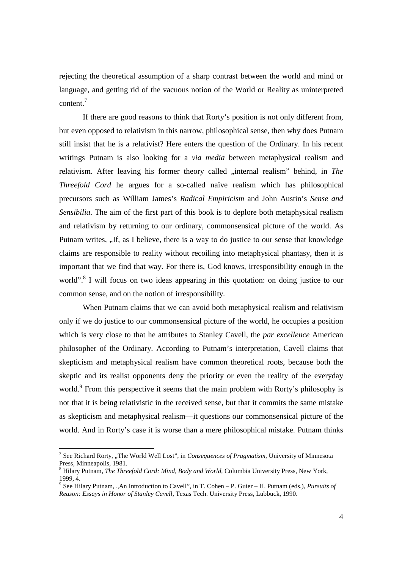rejecting the theoretical assumption of a sharp contrast between the world and mind or language, and getting rid of the vacuous notion of the World or Reality as uninterpreted content.<sup>7</sup>

 If there are good reasons to think that Rorty's position is not only different from, but even opposed to relativism in this narrow, philosophical sense, then why does Putnam still insist that he is a relativist? Here enters the question of the Ordinary. In his recent writings Putnam is also looking for a *via media* between metaphysical realism and relativism. After leaving his former theory called "internal realism" behind, in *The Threefold Cord* he argues for a so-called naïve realism which has philosophical precursors such as William James's *Radical Empiricism* and John Austin's *Sense and Sensibilia*. The aim of the first part of this book is to deplore both metaphysical realism and relativism by returning to our ordinary, commonsensical picture of the world. As Putnam writes, "If, as I believe, there is a way to do justice to our sense that knowledge claims are responsible to reality without recoiling into metaphysical phantasy, then it is important that we find that way. For there is, God knows, irresponsibility enough in the world".<sup>8</sup> I will focus on two ideas appearing in this quotation: on doing justice to our common sense, and on the notion of irresponsibility.

 When Putnam claims that we can avoid both metaphysical realism and relativism only if we do justice to our commonsensical picture of the world, he occupies a position which is very close to that he attributes to Stanley Cavell, the *par excellence* American philosopher of the Ordinary. According to Putnam's interpretation, Cavell claims that skepticism and metaphysical realism have common theoretical roots, because both the skeptic and its realist opponents deny the priority or even the reality of the everyday world.<sup>9</sup> From this perspective it seems that the main problem with Rorty's philosophy is not that it is being relativistic in the received sense, but that it commits the same mistake as skepticism and metaphysical realism—it questions our commonsensical picture of the world. And in Rorty's case it is worse than a mere philosophical mistake. Putnam thinks

<sup>&</sup>lt;sup>7</sup> See Richard Rorty, "The World Well Lost", in *Consequences of Pragmatism*, University of Minnesota Press, Minneapolis, 1981.

<sup>8</sup> Hilary Putnam, *The Threefold Cord: Mind, Body and World,* Columbia University Press, New York, 1999, 4.

<sup>&</sup>lt;sup>9</sup> See Hilary Putnam, "An Introduction to Cavell", in T. Cohen – P. Guier – H. Putnam (eds.), *Pursuits of Reason: Essays in Honor of Stanley Cavell,* Texas Tech. University Press, Lubbuck, 1990.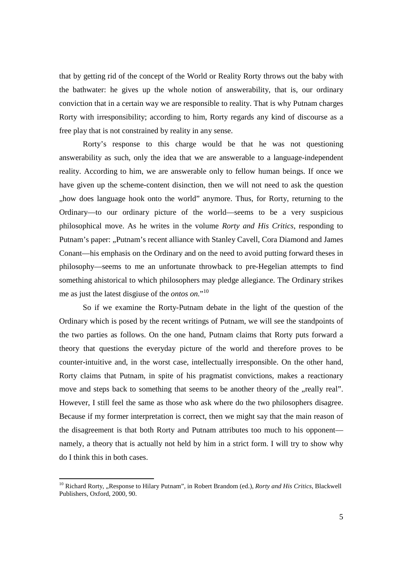that by getting rid of the concept of the World or Reality Rorty throws out the baby with the bathwater: he gives up the whole notion of answerability*,* that is, our ordinary conviction that in a certain way we are responsible to reality. That is why Putnam charges Rorty with irresponsibility; according to him, Rorty regards any kind of discourse as a free play that is not constrained by reality in any sense.

 Rorty's response to this charge would be that he was not questioning answerability as such, only the idea that we are answerable to a language-independent reality. According to him, we are answerable only to fellow human beings. If once we have given up the scheme-content disinction, then we will not need to ask the question "how does language hook onto the world" anymore. Thus, for Rorty, returning to the Ordinary—to our ordinary picture of the world—seems to be a very suspicious philosophical move. As he writes in the volume *Rorty and His Critics*, responding to Putnam's paper: "Putnam's recent alliance with Stanley Cavell, Cora Diamond and James Conant—his emphasis on the Ordinary and on the need to avoid putting forward theses in philosophy—seems to me an unfortunate throwback to pre-Hegelian attempts to find something ahistorical to which philosophers may pledge allegiance. The Ordinary strikes me as just the latest disgiuse of the *ontos on.*" 10

 So if we examine the Rorty-Putnam debate in the light of the question of the Ordinary which is posed by the recent writings of Putnam, we will see the standpoints of the two parties as follows. On the one hand, Putnam claims that Rorty puts forward a theory that questions the everyday picture of the world and therefore proves to be counter-intuitive and, in the worst case, intellectually irresponsible. On the other hand, Rorty claims that Putnam, in spite of his pragmatist convictions, makes a reactionary move and steps back to something that seems to be another theory of the "really real". However, I still feel the same as those who ask where do the two philosophers disagree. Because if my former interpretation is correct, then we might say that the main reason of the disagreement is that both Rorty and Putnam attributes too much to his opponent namely, a theory that is actually not held by him in a strict form. I will try to show why do I think this in both cases.

<u>.</u>

<sup>&</sup>lt;sup>10</sup> Richard Rorty, "Response to Hilary Putnam", in Robert Brandom (ed.), *Rorty and His Critics*, Blackwell Publishers, Oxford, 2000, 90.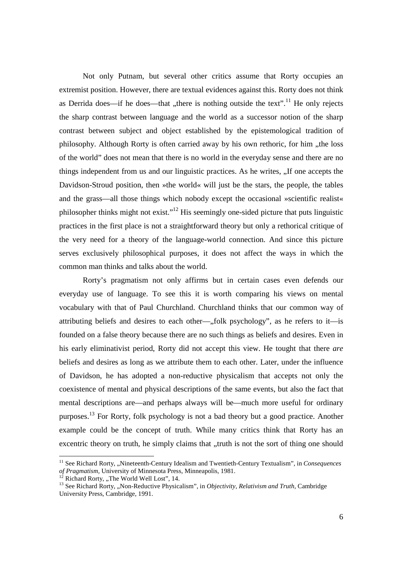Not only Putnam, but several other critics assume that Rorty occupies an extremist position. However, there are textual evidences against this. Rorty does not think as Derrida does—if he does—that "there is nothing outside the text".<sup>11</sup> He only rejects the sharp contrast between language and the world as a successor notion of the sharp contrast between subject and object established by the epistemological tradition of philosophy. Although Rorty is often carried away by his own rethoric, for him "the loss of the world" does not mean that there is no world in the everyday sense and there are no things independent from us and our linguistic practices. As he writes, "If one accepts the Davidson-Stroud position, then »the world« will just be the stars, the people, the tables and the grass—all those things which nobody except the occasional »scientific realist« philosopher thinks might not exist."<sup>12</sup> His seemingly one-sided picture that puts linguistic practices in the first place is not a straightforward theory but only a rethorical critique of the very need for a theory of the language-world connection. And since this picture serves exclusively philosophical purposes, it does not affect the ways in which the common man thinks and talks about the world.

 Rorty's pragmatism not only affirms but in certain cases even defends our everyday use of language. To see this it is worth comparing his views on mental vocabulary with that of Paul Churchland. Churchland thinks that our common way of attributing beliefs and desires to each other— $,$  folk psychology", as he refers to it—is founded on a false theory because there are no such things as beliefs and desires. Even in his early eliminativist period, Rorty did not accept this view. He tought that there *are*  beliefs and desires as long as we attribute them to each other. Later, under the influence of Davidson, he has adopted a non-reductive physicalism that accepts not only the coexistence of mental and physical descriptions of the same events, but also the fact that mental descriptions are—and perhaps always will be—much more useful for ordinary purposes.<sup>13</sup> For Rorty, folk psychology is not a bad theory but a good practice. Another example could be the concept of truth. While many critics think that Rorty has an excentric theory on truth, he simply claims that "truth is not the sort of thing one should

<sup>&</sup>lt;sup>11</sup> See Richard Rorty, "Nineteenth-Century Idealism and Twentieth-Century Textualism", in Consequences *of Pragmatism,* University of Minnesota Press, Minneapolis, 1981.

Richard Rorty, "The World Well Lost", 14.

<sup>&</sup>lt;sup>13</sup> See Richard Rorty, "Non-Reductive Physicalism", in *Objectivity, Relativism and Truth*, Cambridge University Press, Cambridge, 1991.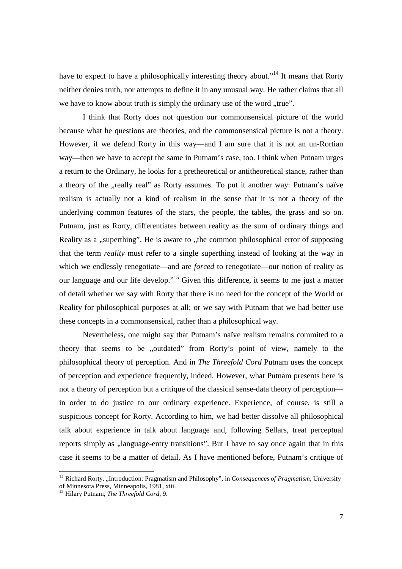have to expect to have a philosophically interesting theory about."<sup>14</sup> It means that Rorty neither denies truth, nor attempts to define it in any unusual way. He rather claims that all we have to know about truth is simply the ordinary use of the word "true".

 I think that Rorty does not question our commonsensical picture of the world because what he questions are theories, and the commonsensical picture is not a theory. However, if we defend Rorty in this way—and I am sure that it is not an un-Rortian way—then we have to accept the same in Putnam's case, too. I think when Putnam urges a return to the Ordinary, he looks for a pretheoretical or antitheoretical stance, rather than a theory of the "really real" as Rorty assumes. To put it another way: Putnam's naïve realism is actually not a kind of realism in the sense that it is not a theory of the underlying common features of the stars, the people, the tables, the grass and so on. Putnam, just as Rorty, differentiates between reality as the sum of ordinary things and Reality as a "superthing". He is aware to "the common philosophical error of supposing that the term *reality* must refer to a single superthing instead of looking at the way in which we endlessly renegotiate—and are *forced* to renegotiate—our notion of reality as our language and our life develop."<sup>15</sup> Given this difference, it seems to me just a matter of detail whether we say with Rorty that there is no need for the concept of the World or Reality for philosophical purposes at all; or we say with Putnam that we had better use these concepts in a commonsensical, rather than a philosophical way.

 Nevertheless, one might say that Putnam's naïve realism remains commited to a theory that seems to be "outdated" from Rorty's point of view, namely to the philosophical theory of perception. And in *The Threefold Cord* Putnam uses the concept of perception and experience frequently, indeed. However, what Putnam presents here is not a theory of perception but a critique of the classical sense-data theory of perception in order to do justice to our ordinary experience. Experience, of course, is still a suspicious concept for Rorty. According to him, we had better dissolve all philosophical talk about experience in talk about language and, following Sellars, treat perceptual reports simply as "language-entry transitions". But I have to say once again that in this case it seems to be a matter of detail. As I have mentioned before, Putnam's critique of

<sup>&</sup>lt;sup>14</sup> Richard Rorty, "Introduction: Pragmatism and Philosophy", in Consequences of Pragmatism, University of Minnesota Press, Minneapolis, 1981, xiii.

<sup>15</sup> Hilary Putnam, *The Threefold Cord,* 9.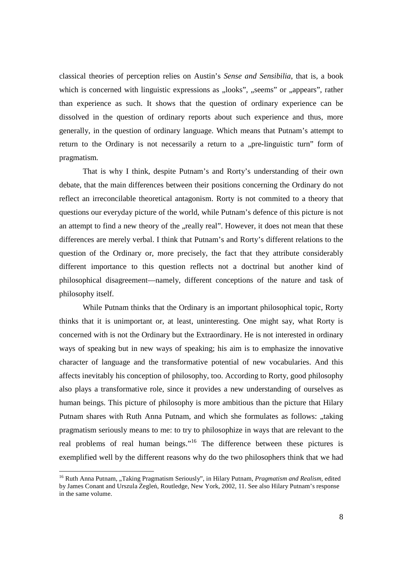classical theories of perception relies on Austin's *Sense and Sensibilia*, that is, a book which is concerned with linguistic expressions as "looks", "seems" or "appears", rather than experience as such. It shows that the question of ordinary experience can be dissolved in the question of ordinary reports about such experience and thus, more generally, in the question of ordinary language. Which means that Putnam's attempt to return to the Ordinary is not necessarily a return to a "pre-linguistic turn" form of pragmatism.

 That is why I think, despite Putnam's and Rorty's understanding of their own debate, that the main differences between their positions concerning the Ordinary do not reflect an irreconcilable theoretical antagonism. Rorty is not commited to a theory that questions our everyday picture of the world, while Putnam's defence of this picture is not an attempt to find a new theory of the "really real". However, it does not mean that these differences are merely verbal. I think that Putnam's and Rorty's different relations to the question of the Ordinary or, more precisely, the fact that they attribute considerably different importance to this question reflects not a doctrinal but another kind of philosophical disagreement—namely, different conceptions of the nature and task of philosophy itself.

 While Putnam thinks that the Ordinary is an important philosophical topic, Rorty thinks that it is unimportant or, at least, uninteresting. One might say, what Rorty is concerned with is not the Ordinary but the Extraordinary. He is not interested in ordinary ways of speaking but in new ways of speaking; his aim is to emphasize the innovative character of language and the transformative potential of new vocabularies. And this affects inevitably his conception of philosophy, too. According to Rorty, good philosophy also plays a transformative role, since it provides a new understanding of ourselves as human beings. This picture of philosophy is more ambitious than the picture that Hilary Putnam shares with Ruth Anna Putnam, and which she formulates as follows: "taking pragmatism seriously means to me: to try to philosophize in ways that are relevant to the real problems of real human beings."<sup>16</sup> The difference between these pictures is exemplified well by the different reasons why do the two philosophers think that we had

<sup>&</sup>lt;sup>16</sup> Ruth Anna Putnam, "Taking Pragmatism Seriously", in Hilary Putnam, *Pragmatism and Realism*, edited by James Conant and Urszula Żegleń, Routledge, New York, 2002, 11. See also Hilary Putnam's response in the same volume.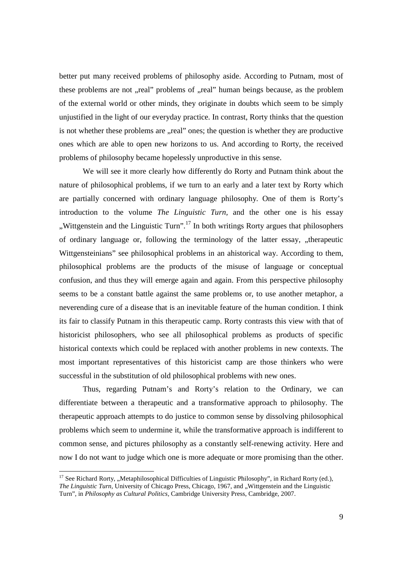better put many received problems of philosophy aside. According to Putnam, most of these problems are not "real" problems of "real" human beings because, as the problem of the external world or other minds, they originate in doubts which seem to be simply unjustified in the light of our everyday practice. In contrast, Rorty thinks that the question is not whether these problems are "real" ones; the question is whether they are productive ones which are able to open new horizons to us. And according to Rorty, the received problems of philosophy became hopelessly unproductive in this sense.

 We will see it more clearly how differently do Rorty and Putnam think about the nature of philosophical problems, if we turn to an early and a later text by Rorty which are partially concerned with ordinary language philosophy. One of them is Rorty's introduction to the volume *The Linguistic Turn,* and the other one is his essay "Wittgenstein and the Linguistic Turn".<sup>17</sup> In both writings Rorty argues that philosophers of ordinary language or, following the terminology of the latter essay, "therapeutic Wittgensteinians" see philosophical problems in an ahistorical way. According to them, philosophical problems are the products of the misuse of language or conceptual confusion, and thus they will emerge again and again. From this perspective philosophy seems to be a constant battle against the same problems or, to use another metaphor, a neverending cure of a disease that is an inevitable feature of the human condition. I think its fair to classify Putnam in this therapeutic camp. Rorty contrasts this view with that of historicist philosophers, who see all philosophical problems as products of specific historical contexts which could be replaced with another problems in new contexts. The most important representatives of this historicist camp are those thinkers who were successful in the substitution of old philosophical problems with new ones.

 Thus, regarding Putnam's and Rorty's relation to the Ordinary, we can differentiate between a therapeutic and a transformative approach to philosophy. The therapeutic approach attempts to do justice to common sense by dissolving philosophical problems which seem to undermine it, while the transformative approach is indifferent to common sense, and pictures philosophy as a constantly self-renewing activity. Here and now I do not want to judge which one is more adequate or more promising than the other.

<sup>&</sup>lt;sup>17</sup> See Richard Rorty, "Metaphilosophical Difficulties of Linguistic Philosophy", in Richard Rorty (ed.), *The Linguistic Turn, University of Chicago Press, Chicago, 1967, and "Wittgenstein and the Linguistic* Turn", in *Philosophy as Cultural Politics,* Cambridge University Press, Cambridge, 2007.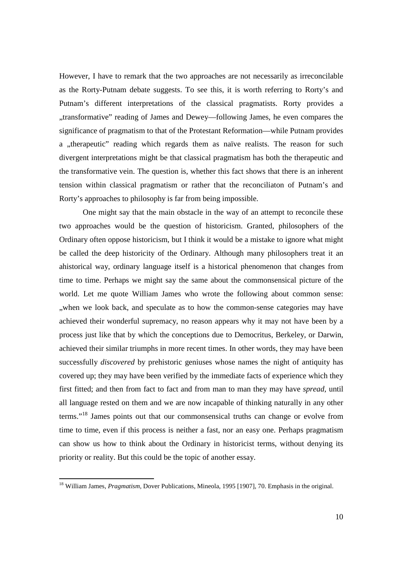However, I have to remark that the two approaches are not necessarily as irreconcilable as the Rorty-Putnam debate suggests. To see this, it is worth referring to Rorty's and Putnam's different interpretations of the classical pragmatists. Rorty provides a "transformative" reading of James and Dewey—following James, he even compares the significance of pragmatism to that of the Protestant Reformation—while Putnam provides a "therapeutic" reading which regards them as naïve realists. The reason for such divergent interpretations might be that classical pragmatism has both the therapeutic and the transformative vein. The question is, whether this fact shows that there is an inherent tension within classical pragmatism or rather that the reconciliaton of Putnam's and Rorty's approaches to philosophy is far from being impossible.

 One might say that the main obstacle in the way of an attempt to reconcile these two approaches would be the question of historicism. Granted, philosophers of the Ordinary often oppose historicism, but I think it would be a mistake to ignore what might be called the deep historicity of the Ordinary. Although many philosophers treat it an ahistorical way, ordinary language itself is a historical phenomenon that changes from time to time. Perhaps we might say the same about the commonsensical picture of the world. Let me quote William James who wrote the following about common sense: ", when we look back, and speculate as to how the common-sense categories may have achieved their wonderful supremacy, no reason appears why it may not have been by a process just like that by which the conceptions due to Democritus, Berkeley, or Darwin, achieved their similar triumphs in more recent times. In other words, they may have been successfully *discovered* by prehistoric geniuses whose names the night of antiquity has covered up; they may have been verified by the immediate facts of experience which they first fitted; and then from fact to fact and from man to man they may have *spread,* until all language rested on them and we are now incapable of thinking naturally in any other terms."<sup>18</sup> James points out that our commonsensical truths can change or evolve from time to time, even if this process is neither a fast, nor an easy one. Perhaps pragmatism can show us how to think about the Ordinary in historicist terms, without denying its priority or reality. But this could be the topic of another essay.

<u>.</u>

<sup>&</sup>lt;sup>18</sup> William James, *Pragmatism*, Dover Publications, Mineola, 1995 [1907], 70. Emphasis in the original.